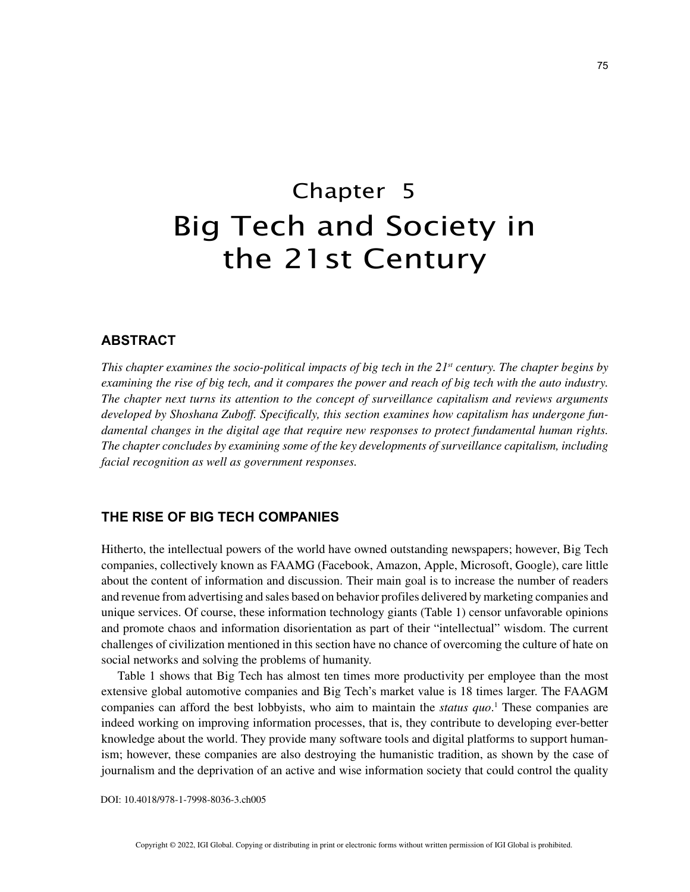# Chapter 5 Big Tech and Society in the 21st Century

# **ABSTRACT**

*This chapter examines the socio-political impacts of big tech in the 21<sup>st</sup> century. The chapter begins by examining the rise of big tech, and it compares the power and reach of big tech with the auto industry. The chapter next turns its attention to the concept of surveillance capitalism and reviews arguments developed by Shoshana Zuboff. Specifically, this section examines how capitalism has undergone fundamental changes in the digital age that require new responses to protect fundamental human rights. The chapter concludes by examining some of the key developments of surveillance capitalism, including facial recognition as well as government responses.*

# **THE RISE OF BIG TECH COMPANIES**

Hitherto, the intellectual powers of the world have owned outstanding newspapers; however, Big Tech companies, collectively known as FAAMG (Facebook, Amazon, Apple, Microsoft, Google), care little about the content of information and discussion. Their main goal is to increase the number of readers and revenue from advertising and sales based on behavior profiles delivered by marketing companies and unique services. Of course, these information technology giants (Table 1) censor unfavorable opinions and promote chaos and information disorientation as part of their "intellectual" wisdom. The current challenges of civilization mentioned in this section have no chance of overcoming the culture of hate on social networks and solving the problems of humanity.

Table 1 shows that Big Tech has almost ten times more productivity per employee than the most extensive global automotive companies and Big Tech's market value is 18 times larger. The FAAGM companies can afford the best lobbyists, who aim to maintain the *status quo*. 1 These companies are indeed working on improving information processes, that is, they contribute to developing ever-better knowledge about the world. They provide many software tools and digital platforms to support humanism; however, these companies are also destroying the humanistic tradition, as shown by the case of journalism and the deprivation of an active and wise information society that could control the quality

DOI: 10.4018/978-1-7998-8036-3.ch005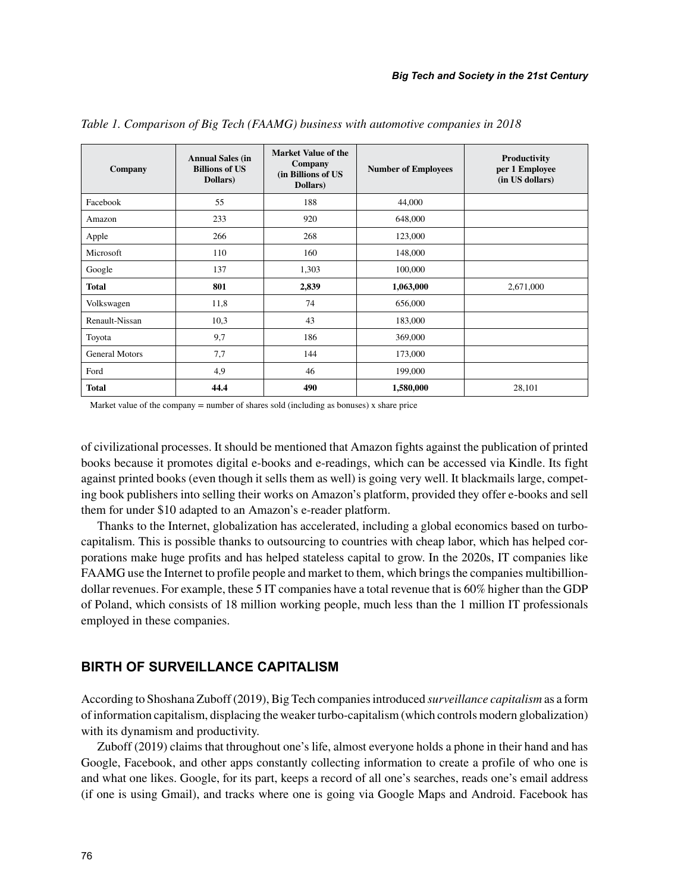| Company               | <b>Annual Sales (in</b><br><b>Billions of US</b><br>Dollars) | <b>Market Value of the</b><br>Company<br>(in Billions of US<br>Dollars) | <b>Number of Employees</b> | Productivity<br>per 1 Employee<br>(in US dollars) |
|-----------------------|--------------------------------------------------------------|-------------------------------------------------------------------------|----------------------------|---------------------------------------------------|
| Facebook              | 55                                                           | 188                                                                     | 44,000                     |                                                   |
| Amazon                | 233                                                          | 920                                                                     | 648,000                    |                                                   |
| Apple                 | 266                                                          | 268                                                                     | 123,000                    |                                                   |
| Microsoft             | 110                                                          | 160                                                                     | 148,000                    |                                                   |
| Google                | 137                                                          | 1,303                                                                   | 100,000                    |                                                   |
| <b>Total</b>          | 801                                                          | 2,839                                                                   | 1,063,000                  | 2,671,000                                         |
| Volkswagen            | 11,8                                                         | 74                                                                      | 656,000                    |                                                   |
| Renault-Nissan        | 10,3                                                         | 43                                                                      | 183,000                    |                                                   |
| Toyota                | 9,7                                                          | 186                                                                     | 369,000                    |                                                   |
| <b>General Motors</b> | 7,7                                                          | 144                                                                     | 173,000                    |                                                   |
| Ford                  | 4,9                                                          | 46                                                                      | 199,000                    |                                                   |
| <b>Total</b>          | 44.4                                                         | 490                                                                     | 1,580,000                  | 28,101                                            |

*Table 1. Comparison of Big Tech (FAAMG) business with automotive companies in 2018*

Market value of the company  $=$  number of shares sold (including as bonuses) x share price

of civilizational processes. It should be mentioned that Amazon fights against the publication of printed books because it promotes digital e-books and e-readings, which can be accessed via Kindle. Its fight against printed books (even though it sells them as well) is going very well. It blackmails large, competing book publishers into selling their works on Amazon's platform, provided they offer e-books and sell them for under \$10 adapted to an Amazon's e-reader platform.

Thanks to the Internet, globalization has accelerated, including a global economics based on turbocapitalism. This is possible thanks to outsourcing to countries with cheap labor, which has helped corporations make huge profits and has helped stateless capital to grow. In the 2020s, IT companies like FAAMG use the Internet to profile people and market to them, which brings the companies multibilliondollar revenues. For example, these 5 IT companies have a total revenue that is 60% higher than the GDP of Poland, which consists of 18 million working people, much less than the 1 million IT professionals employed in these companies.

## **BIRTH OF SURVEILLANCE CAPITALISM**

According to Shoshana Zuboff (2019), Big Tech companies introduced *surveillance capitalism* as a form of information capitalism, displacing the weaker turbo-capitalism (which controls modern globalization) with its dynamism and productivity.

Zuboff (2019) claims that throughout one's life, almost everyone holds a phone in their hand and has Google, Facebook, and other apps constantly collecting information to create a profile of who one is and what one likes. Google, for its part, keeps a record of all one's searches, reads one's email address (if one is using Gmail), and tracks where one is going via Google Maps and Android. Facebook has